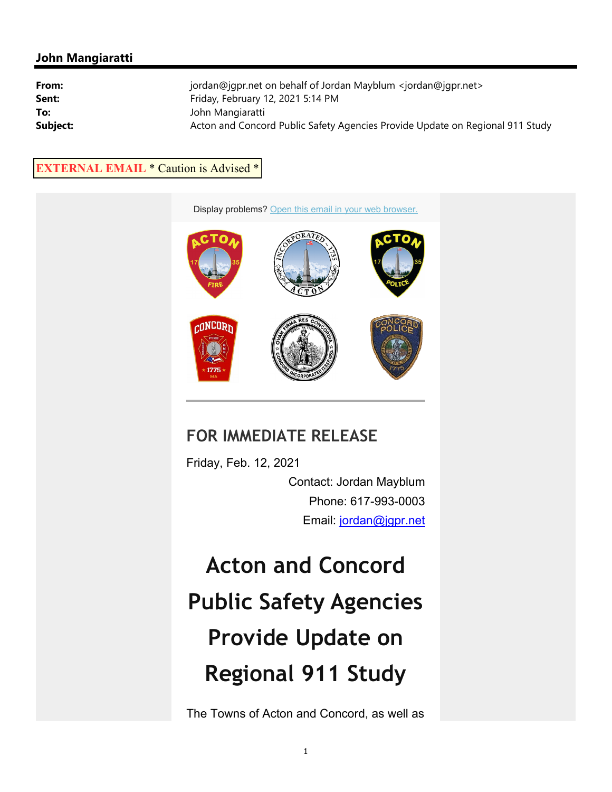## **John Mangiaratti**

| From:    | jordan@jqpr.net on behalf of Jordan Mayblum <jordan@jqpr.net></jordan@jqpr.net> |
|----------|---------------------------------------------------------------------------------|
| Sent:    | Friday, February 12, 2021 5:14 PM                                               |
| To:      | John Mangiaratti                                                                |
| Subject: | Acton and Concord Public Safety Agencies Provide Update on Regional 911 Study   |

## **EXTERNAL EMAIL** \* Caution is Advised \*



## **FOR IMMEDIATE RELEASE**

Friday, Feb. 12, 2021 Contact: Jordan Mayblum Phone: 617-993-0003 Email: jordan@jgpr.net

**Acton and Concord Public Safety Agencies Provide Update on Regional 911 Study**

The Towns of Acton and Concord, as well as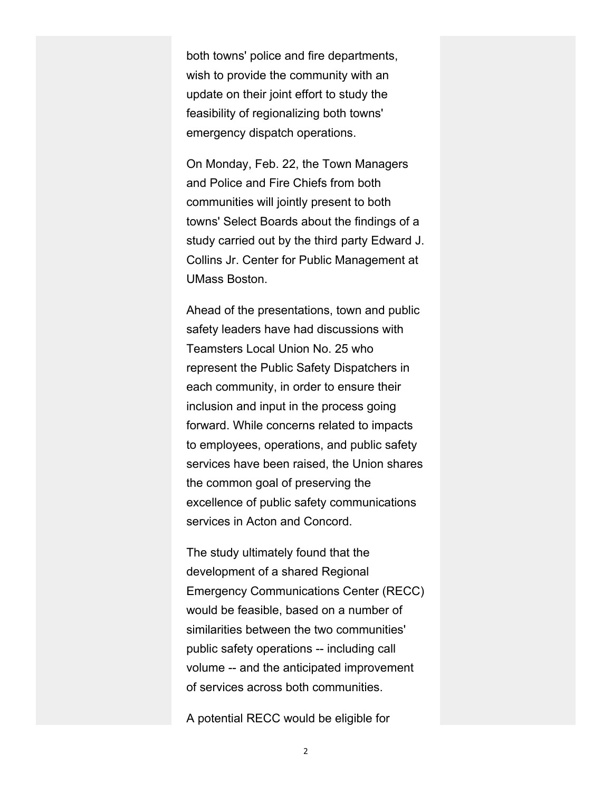both towns' police and fire departments, wish to provide the community with an update on their joint effort to study the feasibility of regionalizing both towns' emergency dispatch operations.

On Monday, Feb. 22, the Town Managers and Police and Fire Chiefs from both communities will jointly present to both towns' Select Boards about the findings of a study carried out by the third party Edward J. Collins Jr. Center for Public Management at UMass Boston.

Ahead of the presentations, town and public safety leaders have had discussions with Teamsters Local Union No. 25 who represent the Public Safety Dispatchers in each community, in order to ensure their inclusion and input in the process going forward. While concerns related to impacts to employees, operations, and public safety services have been raised, the Union shares the common goal of preserving the excellence of public safety communications services in Acton and Concord.

The study ultimately found that the development of a shared Regional Emergency Communications Center (RECC) would be feasible, based on a number of similarities between the two communities' public safety operations -- including call volume -- and the anticipated improvement of services across both communities.

A potential RECC would be eligible for